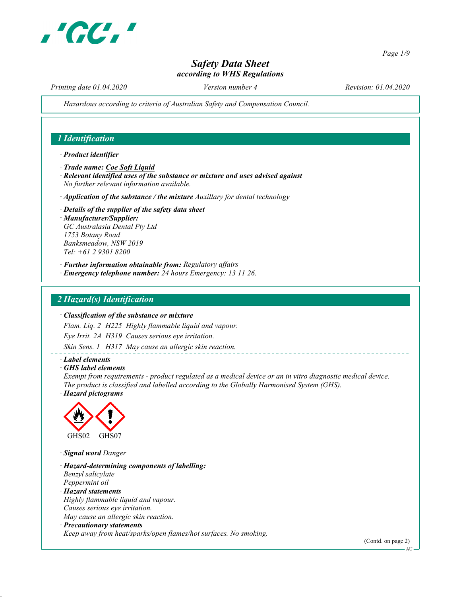

Page 1/9

# Safety Data Sheet according to WHS Regulations

Printing date 01.04.2020 Version number 4 Revision: 01.04.2020

Hazardous according to criteria of Australian Safety and Compensation Council.

# 1 Identification

#### · Product identifier

- · Trade name: Coe Soft Liquid
- · Relevant identified uses of the substance or mixture and uses advised against No further relevant information available.
- $\cdot$  Application of the substance / the mixture Auxillary for dental technology
- · Details of the supplier of the safety data sheet · Manufacturer/Supplier: GC Australasia Dental Pty Ltd 1753 Botany Road Banksmeadow, NSW 2019 Tel: +61 2 9301 8200
- · Further information obtainable from: Regulatory affairs
- · Emergency telephone number: 24 hours Emergency: 13 11 26.

## 2 Hazard(s) Identification

#### · Classification of the substance or mixture

Flam. Liq. 2 H225 Highly flammable liquid and vapour.

Eye Irrit. 2A H319 Causes serious eye irritation.

Skin Sens. 1 H317 May cause an allergic skin reaction.

#### · Label elements

· GHS label elements

Exempt from requirements - product regulated as a medical device or an in vitro diagnostic medical device. The product is classified and labelled according to the Globally Harmonised System (GHS).

· Hazard pictograms



· Signal word Danger

· Hazard-determining components of labelling: Benzyl salicylate Peppermint oil · Hazard statements Highly flammable liquid and vapour. Causes serious eye irritation. May cause an allergic skin reaction. · Precautionary statements

Keep away from heat/sparks/open flames/hot surfaces. No smoking.

(Contd. on page 2)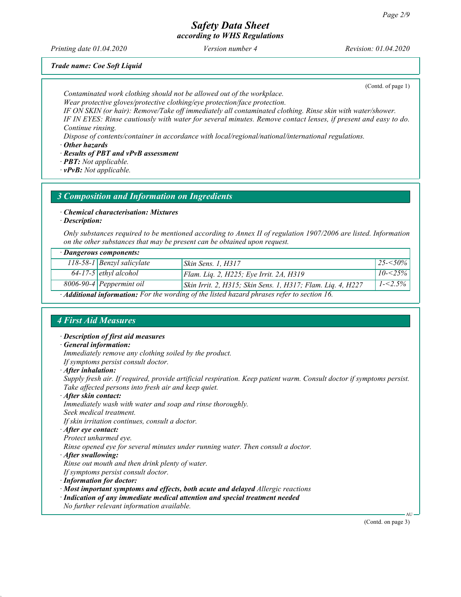Printing date 01.04.2020 Version number 4 Revision: 01.04.2020

Trade name: Coe Soft Liquid

(Contd. of page 1)

Contaminated work clothing should not be allowed out of the workplace. Wear protective gloves/protective clothing/eye protection/face protection.

IF ON SKIN (or hair): Remove/Take off immediately all contaminated clothing. Rinse skin with water/shower. IF IN EYES: Rinse cautiously with water for several minutes. Remove contact lenses, if present and easy to do. Continue rinsing.

Dispose of contents/container in accordance with local/regional/national/international regulations.

· Other hazards

· Results of PBT and vPvB assessment

· PBT: Not applicable.

· vPvB: Not applicable.

### 3 Composition and Information on Ingredients

· Chemical characterisation: Mixtures

· Description:

Only substances required to be mentioned according to Annex II of regulation 1907/2006 are listed. Information on the other substances that may be present can be obtained upon request.

| · Dangerous components:                                                                                 |                                |                                                             |               |  |  |
|---------------------------------------------------------------------------------------------------------|--------------------------------|-------------------------------------------------------------|---------------|--|--|
|                                                                                                         | $118-58-1$ Benzyl salicylate   | <i>Skin Sens. 1, H317</i>                                   | $ 25 - 50\% $ |  |  |
|                                                                                                         | $64$ -17-5 ethyl alcohol       | Flam. Lig. 2, H225; Eye Irrit. 2A, H319                     | $10 - 25\%$   |  |  |
|                                                                                                         | $8006 - 90 - 4$ Peppermint oil | Skin Irrit. 2, H315; Skin Sens. 1, H317; Flam. Liq. 4, H227 | $1 - 2.5\%$   |  |  |
| $\cdot$ <b>Additional information:</b> For the wording of the listed hazard phrases refer to section 16 |                                |                                                             |               |  |  |

· Additional information: For the wording of the listed hazard phrases refer to section 16.

# 4 First Aid Measures

· Description of first aid measures · General information: Immediately remove any clothing soiled by the product. If symptoms persist consult doctor. · After inhalation: Supply fresh air. If required, provide artificial respiration. Keep patient warm. Consult doctor if symptoms persist. Take affected persons into fresh air and keep quiet. · After skin contact: Immediately wash with water and soap and rinse thoroughly. Seek medical treatment. If skin irritation continues, consult a doctor. · After eye contact: Protect unharmed eye. Rinse opened eye for several minutes under running water. Then consult a doctor. · After swallowing: Rinse out mouth and then drink plenty of water. If symptoms persist consult doctor. · Information for doctor: · Most important symptoms and effects, both acute and delayed Allergic reactions · Indication of any immediate medical attention and special treatment needed No further relevant information available. AU

(Contd. on page 3)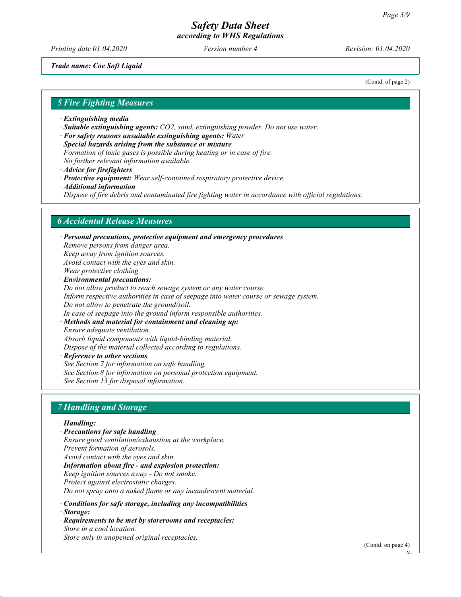Printing date 01.04.2020 Version number 4 Revision: 01.04.2020

Trade name: Coe Soft Liquid

(Contd. of page 2)

#### 5 Fire Fighting Measures

- · Extinguishing media
- · Suitable extinguishing agents: CO2, sand, extinguishing powder. Do not use water.
- · For safety reasons unsuitable extinguishing agents: Water
- · Special hazards arising from the substance or mixture
- Formation of toxic gases is possible during heating or in case of fire.
- No further relevant information available.
- · Advice for firefighters
- · Protective equipment: Wear self-contained respiratory protective device.
- · Additional information
- Dispose of fire debris and contaminated fire fighting water in accordance with official regulations.

#### 6 Accidental Release Measures

· Personal precautions, protective equipment and emergency procedures Remove persons from danger area. Keep away from ignition sources. Avoid contact with the eyes and skin. Wear protective clothing. · Environmental precautions: Do not allow product to reach sewage system or any water course. Inform respective authorities in case of seepage into water course or sewage system. Do not allow to penetrate the ground/soil.

In case of seepage into the ground inform responsible authorities.

# · Methods and material for containment and cleaning up:

Ensure adequate ventilation. Absorb liquid components with liquid-binding material. Dispose of the material collected according to regulations.

#### Reference to other sections See Section 7 for information on safe handling. See Section 8 for information on personal protection equipment. See Section 13 for disposal information.

# 7 Handling and Storage

#### · Handling:

- · Precautions for safe handling Ensure good ventilation/exhaustion at the workplace. Prevent formation of aerosols. Avoid contact with the eyes and skin. · Information about fire - and explosion protection: Keep ignition sources away - Do not smoke.
- Protect against electrostatic charges. Do not spray onto a naked flame or any incandescent material.
- · Conditions for safe storage, including any incompatibilities
- · Storage:
- · Requirements to be met by storerooms and receptacles: Store in a cool location. Store only in unopened original receptacles.

(Contd. on page 4)

AU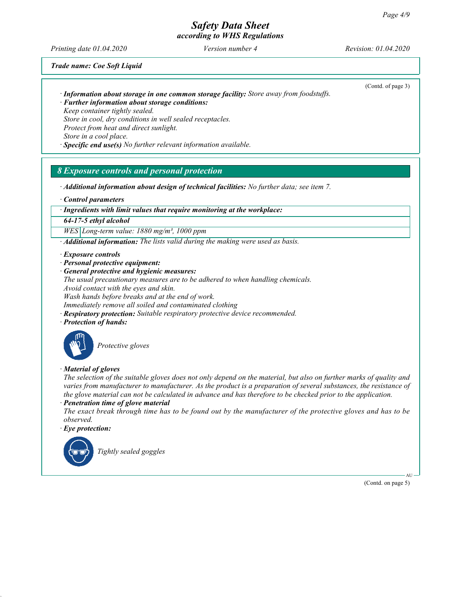# Safety Data Sheet

according to WHS Regulations

Printing date 01.04.2020 Version number 4 Revision: 01.04.2020

Trade name: Coe Soft Liquid

· Information about storage in one common storage facility: Store away from foodstuffs.

(Contd. of page 3)

- · Further information about storage conditions: Keep container tightly sealed. Store in cool, dry conditions in well sealed receptacles. Protect from heat and direct sunlight. Store in a cool place.
- $\cdot$  Specific end use(s) No further relevant information available.

# 8 Exposure controls and personal protection

· Additional information about design of technical facilities: No further data; see item 7.

· Control parameters

#### · Ingredients with limit values that require monitoring at the workplace:

64-17-5 ethyl alcohol

 $WES|Long-term value: 1880 mg/m<sup>3</sup>, 1000 ppm$ 

 $\cdot$  **Additional information:** The lists valid during the making were used as basis.

#### · Exposure controls

- · Personal protective equipment:
- · General protective and hygienic measures:
- The usual precautionary measures are to be adhered to when handling chemicals.
- Avoid contact with the eyes and skin.

Wash hands before breaks and at the end of work.

Immediately remove all soiled and contaminated clothing

- · Respiratory protection: Suitable respiratory protective device recommended.
- · Protection of hands:



Protective gloves

### · Material of gloves

The selection of the suitable gloves does not only depend on the material, but also on further marks of quality and varies from manufacturer to manufacturer. As the product is a preparation of several substances, the resistance of the glove material can not be calculated in advance and has therefore to be checked prior to the application.

· Penetration time of glove material

The exact break through time has to be found out by the manufacturer of the protective gloves and has to be observed.

· Eye protection:



(Contd. on page 5)

AU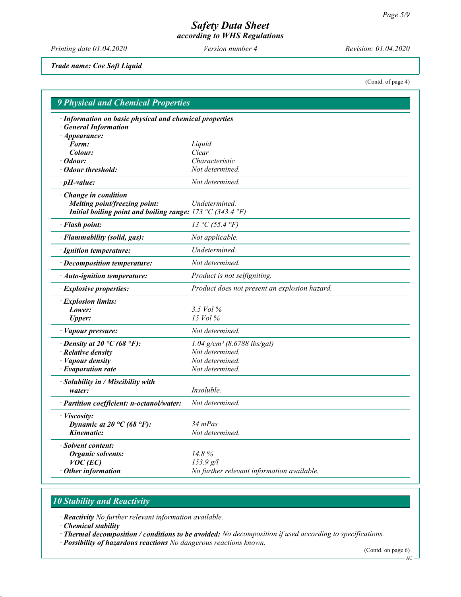Printing date 01.04.2020 Version number 4 Revision: 01.04.2020

Trade name: Coe Soft Liquid

(Contd. of page 4)

| · Information on basic physical and chemical properties    |                                               |
|------------------------------------------------------------|-----------------------------------------------|
| <b>General Information</b><br>$\cdot$ Appearance:          |                                               |
| Form:                                                      | Liquid                                        |
| Colour:                                                    | Clear                                         |
| $\cdot$ Odour:                                             | Characteristic                                |
| • Odour threshold:                                         | Not determined.                               |
| $\cdot$ pH-value:                                          | Not determined.                               |
| · Change in condition                                      |                                               |
| Melting point/freezing point:                              | Undetermined.                                 |
| Initial boiling point and boiling range: 173 °C (343.4 °F) |                                               |
| · Flash point:                                             | 13 °C (55.4 °F)                               |
| · Flammability (solid, gas):                               | Not applicable.                               |
| · Ignition temperature:                                    | Undetermined.                                 |
| · Decomposition temperature:                               | Not determined.                               |
| $\cdot$ Auto-ignition temperature:                         | Product is not selfigniting.                  |
| · Explosive properties:                                    | Product does not present an explosion hazard. |
| · Explosion limits:                                        |                                               |
| Lower:                                                     | 3.5 Vol $\%$                                  |
| <b>Upper:</b>                                              | 15 Vol %                                      |
| · Vapour pressure:                                         | Not determined.                               |
| $\cdot$ Density at 20 °C (68 °F):                          | $1.04$ g/cm <sup>3</sup> (8.6788 lbs/gal)     |
| $\cdot$ Relative density                                   | Not determined.                               |
| $\cdot$ <i>Vapour density</i>                              | Not determined.                               |
| $\cdot$ Evaporation rate                                   | Not determined.                               |
| · Solubility in / Miscibility with                         |                                               |
| water:                                                     | Insoluble.                                    |
| · Partition coefficient: n-octanol/water:                  | Not determined.                               |
| · Viscosity:                                               |                                               |
| Dynamic at 20 °C (68 °F):                                  | $34$ mPas                                     |
| Kinematic:                                                 | Not determined.                               |
| · Solvent content:                                         |                                               |
| Organic solvents:                                          | 14.8%                                         |
| $VOC$ (EC)                                                 | 153.9 g/l                                     |
| $\cdot$ Other information                                  | No further relevant information available.    |

# 10 Stability and Reactivity

· Reactivity No further relevant information available.

· Chemical stability

· Thermal decomposition / conditions to be avoided: No decomposition if used according to specifications.

· Possibility of hazardous reactions No dangerous reactions known.

(Contd. on page 6)

 $AU -$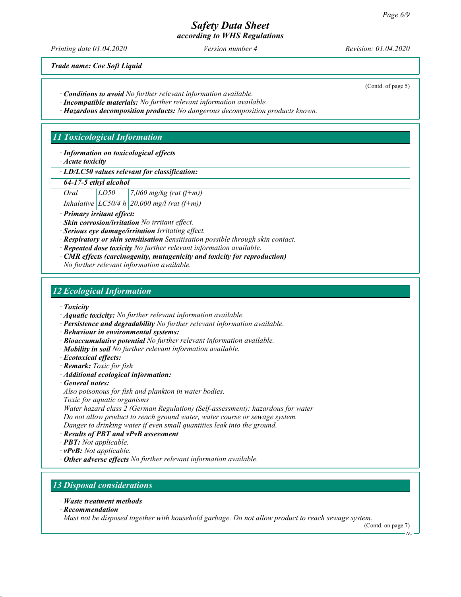Printing date 01.04.2020 Version number 4 Revision: 01.04.2020

(Contd. of page 5)

Trade name: Coe Soft Liquid

· Conditions to avoid No further relevant information available.

· Incompatible materials: No further relevant information available.

· Hazardous decomposition products: No dangerous decomposition products known.

# 11 Toxicological Information

· Information on toxicological effects

· Acute toxicity

· LD/LC50 values relevant for classification:

64-17-5 ethyl alcohol

Oral  $LD50$  7,060 mg/kg (rat (f+m))

Inhalative  $|LCS0/4 h| 20,000$  mg/l (rat (f+m))

· Primary irritant effect:

· Skin corrosion/irritation No irritant effect.

· Serious eye damage/irritation Irritating effect.

- · Respiratory or skin sensitisation Sensitisation possible through skin contact.
- · Repeated dose toxicity No further relevant information available.
- · CMR effects (carcinogenity, mutagenicity and toxicity for reproduction) No further relevant information available.

# 12 Ecological Information

· Toxicity

- · Aquatic toxicity: No further relevant information available.
- · Persistence and degradability No further relevant information available.

· Behaviour in environmental systems:

- · Bioaccumulative potential No further relevant information available.
- · Mobility in soil No further relevant information available.
- · Ecotoxical effects:
- · Remark: Toxic for fish
- · Additional ecological information:
- · General notes:

Also poisonous for fish and plankton in water bodies.

Toxic for aquatic organisms

Water hazard class 2 (German Regulation) (Self-assessment): hazardous for water

Do not allow product to reach ground water, water course or sewage system.

Danger to drinking water if even small quantities leak into the ground.

- · Results of PBT and vPvB assessment
- · PBT: Not applicable.
- $\cdot$  **vPvB:** Not applicable.

· Other adverse effects No further relevant information available.

# 13 Disposal considerations

- · Waste treatment methods
- · Recommendation

Must not be disposed together with household garbage. Do not allow product to reach sewage system.

(Contd. on page 7)

AU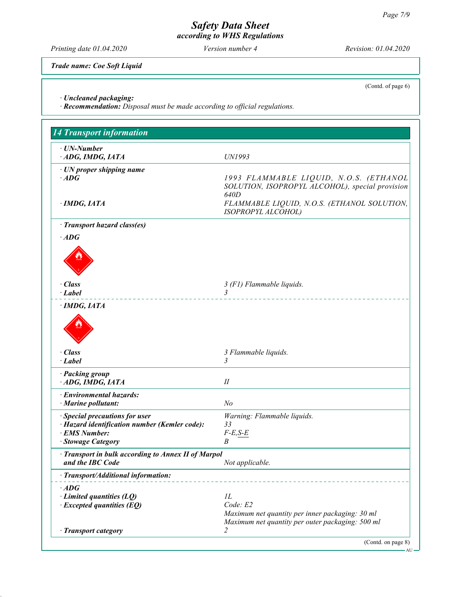Printing date 01.04.2020 Version number 4 Revision: 01.04.2020

Trade name: Coe Soft Liquid

(Contd. of page 6)

· Uncleaned packaging:

· Recommendation: Disposal must be made according to official regulations.

| · UN-Number                                                             |                                                                                                                                                  |
|-------------------------------------------------------------------------|--------------------------------------------------------------------------------------------------------------------------------------------------|
| ADG, IMDG, IATA                                                         | UN1993                                                                                                                                           |
| $\cdot$ UN proper shipping name<br>$\cdot$ ADG<br>· IMDG, IATA          | 1993 FLAMMABLE LIQUID, N.O.S. (ETHANOL<br>SOLUTION, ISOPROPYL ALCOHOL), special provision<br>640D<br>FLAMMABLE LIQUID, N.O.S. (ETHANOL SOLUTION, |
|                                                                         | ISOPROPYL ALCOHOL)                                                                                                                               |
| · Transport hazard class(es)                                            |                                                                                                                                                  |
| $\cdot$ ADG                                                             |                                                                                                                                                  |
|                                                                         |                                                                                                                                                  |
| · Class<br>· Label                                                      | 3 (F1) Flammable liquids.<br>$\mathfrak{Z}$                                                                                                      |
| $\cdot$ IMDG, IATA                                                      |                                                                                                                                                  |
|                                                                         |                                                                                                                                                  |
| $\cdot$ Class                                                           | 3 Flammable liquids.                                                                                                                             |
| · Label                                                                 | $\mathfrak{Z}$                                                                                                                                   |
| · Packing group<br>ADG, IMDG, IATA                                      | П                                                                                                                                                |
| · Environmental hazards:                                                |                                                                                                                                                  |
| $\cdot$ Marine pollutant:                                               | N <sub>o</sub>                                                                                                                                   |
| · Special precautions for user                                          | Warning: Flammable liquids.                                                                                                                      |
| · Hazard identification number (Kemler code):<br>· EMS Number:          | 33<br>$F-E, S-E$                                                                                                                                 |
| · Stowage Category                                                      | B                                                                                                                                                |
| · Transport in bulk according to Annex II of Marpol<br>and the IBC Code | Not applicable.                                                                                                                                  |
| · Transport/Additional information:                                     |                                                                                                                                                  |
| $\cdot$ ADG                                                             |                                                                                                                                                  |
| $\cdot$ Limited quantities (LQ)                                         | $_{1L}$                                                                                                                                          |
| $\cdot$ Excepted quantities (EQ)                                        | Code: E2<br>Maximum net quantity per inner packaging: 30 ml<br>Maximum net quantity per outer packaging: 500 ml                                  |
| · Transport category                                                    | 2                                                                                                                                                |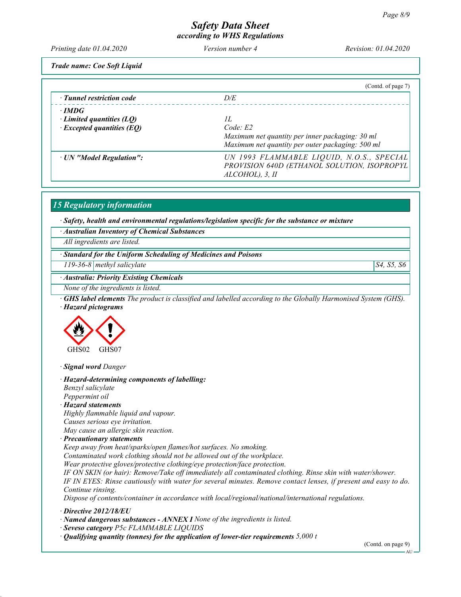Printing date 01.04.2020 Version number 4 Revision: 01.04.2020

Trade name: Coe Soft Liquid

|                                  | (Contd. of page 7)                               |
|----------------------------------|--------------------------------------------------|
| $\cdot$ Tunnel restriction code  | D/E                                              |
| $\cdot$ IMDG                     |                                                  |
| Limited quantities $(LQ)$        | H                                                |
| $\cdot$ Excepted quantities (EQ) | Code: E2                                         |
|                                  | Maximum net quantity per inner packaging: 30 ml  |
|                                  | Maximum net quantity per outer packaging: 500 ml |
| · UN "Model Regulation":         | UN 1993 FLAMMABLE LIQUID, N.O.S., SPECIAL        |
|                                  | PROVISION 640D (ETHANOL SOLUTION, ISOPROPYL      |
|                                  | $ALCOHOL$ ), 3, $II$                             |
|                                  |                                                  |

15 Regulatory information

· Safety, health and environmental regulations/legislation specific for the substance or mixture

· Australian Inventory of Chemical Substances

All ingredients are listed.

· Standard for the Uniform Scheduling of Medicines and Poisons

 $119-36-8$  methyl salicylate  $\begin{array}{|l|}\n 34, 55, 56\n\end{array}$ 

· Australia: Priority Existing Chemicals

None of the ingredients is listed.

· GHS label elements The product is classified and labelled according to the Globally Harmonised System (GHS). · Hazard pictograms



· Signal word Danger

· Hazard-determining components of labelling: Benzyl salicylate Peppermint oil

· Hazard statements

Highly flammable liquid and vapour.

Causes serious eye irritation.

May cause an allergic skin reaction.

· Precautionary statements

Keep away from heat/sparks/open flames/hot surfaces. No smoking.

Contaminated work clothing should not be allowed out of the workplace.

Wear protective gloves/protective clothing/eye protection/face protection.

IF ON SKIN (or hair): Remove/Take off immediately all contaminated clothing. Rinse skin with water/shower. IF IN EYES: Rinse cautiously with water for several minutes. Remove contact lenses, if present and easy to do. Continue rinsing.

Dispose of contents/container in accordance with local/regional/national/international regulations.

· Directive 2012/18/EU

· Named dangerous substances - ANNEX I None of the ingredients is listed.

· Seveso category P5c FLAMMABLE LIQUIDS

 $\cdot$  Qualifying quantity (tonnes) for the application of lower-tier requirements 5,000 t

(Contd. on page 9)

AU